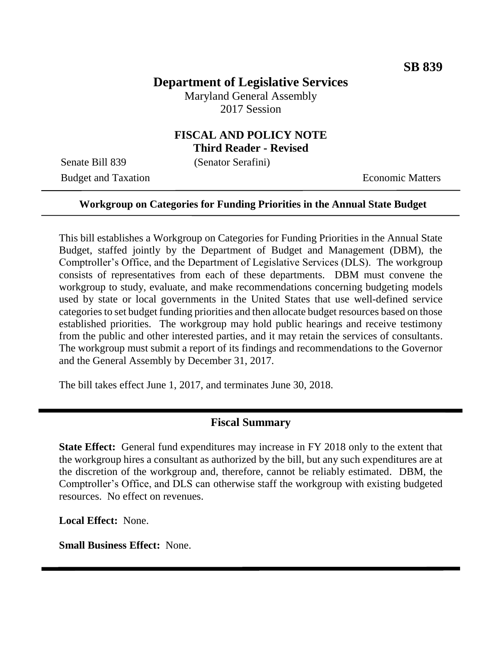# **Department of Legislative Services**

Maryland General Assembly 2017 Session

### **FISCAL AND POLICY NOTE Third Reader - Revised**

Senate Bill 839 (Senator Serafini)

Budget and Taxation **Economic Matters** 

#### **Workgroup on Categories for Funding Priorities in the Annual State Budget**

This bill establishes a Workgroup on Categories for Funding Priorities in the Annual State Budget, staffed jointly by the Department of Budget and Management (DBM), the Comptroller's Office, and the Department of Legislative Services (DLS). The workgroup consists of representatives from each of these departments. DBM must convene the workgroup to study, evaluate, and make recommendations concerning budgeting models used by state or local governments in the United States that use well-defined service categories to set budget funding priorities and then allocate budget resources based on those established priorities. The workgroup may hold public hearings and receive testimony from the public and other interested parties, and it may retain the services of consultants. The workgroup must submit a report of its findings and recommendations to the Governor and the General Assembly by December 31, 2017.

The bill takes effect June 1, 2017, and terminates June 30, 2018.

### **Fiscal Summary**

**State Effect:** General fund expenditures may increase in FY 2018 only to the extent that the workgroup hires a consultant as authorized by the bill, but any such expenditures are at the discretion of the workgroup and, therefore, cannot be reliably estimated. DBM, the Comptroller's Office, and DLS can otherwise staff the workgroup with existing budgeted resources. No effect on revenues.

**Local Effect:** None.

**Small Business Effect:** None.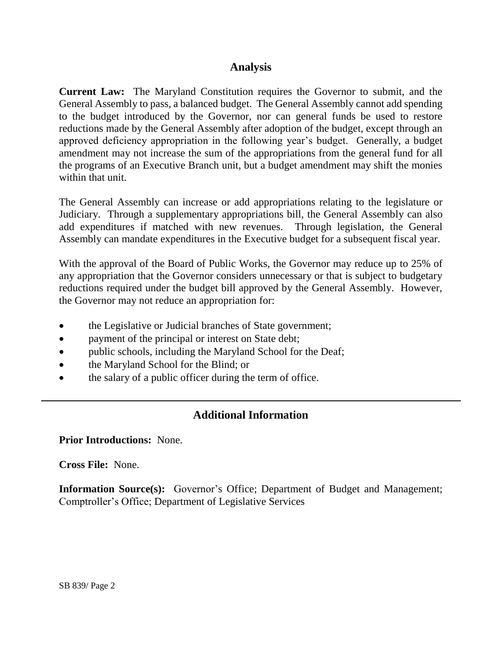## **Analysis**

**Current Law:** The Maryland Constitution requires the Governor to submit, and the General Assembly to pass, a balanced budget. The General Assembly cannot add spending to the budget introduced by the Governor, nor can general funds be used to restore reductions made by the General Assembly after adoption of the budget, except through an approved deficiency appropriation in the following year's budget. Generally, a budget amendment may not increase the sum of the appropriations from the general fund for all the programs of an Executive Branch unit, but a budget amendment may shift the monies within that unit.

The General Assembly can increase or add appropriations relating to the legislature or Judiciary. Through a supplementary appropriations bill, the General Assembly can also add expenditures if matched with new revenues. Through legislation, the General Assembly can mandate expenditures in the Executive budget for a subsequent fiscal year.

With the approval of the Board of Public Works, the Governor may reduce up to 25% of any appropriation that the Governor considers unnecessary or that is subject to budgetary reductions required under the budget bill approved by the General Assembly. However, the Governor may not reduce an appropriation for:

- the Legislative or Judicial branches of State government;
- payment of the principal or interest on State debt;
- public schools, including the Maryland School for the Deaf;
- the Maryland School for the Blind; or
- the salary of a public officer during the term of office.

# **Additional Information**

**Prior Introductions:** None.

**Cross File:** None.

**Information Source(s):** Governor's Office; Department of Budget and Management; Comptroller's Office; Department of Legislative Services